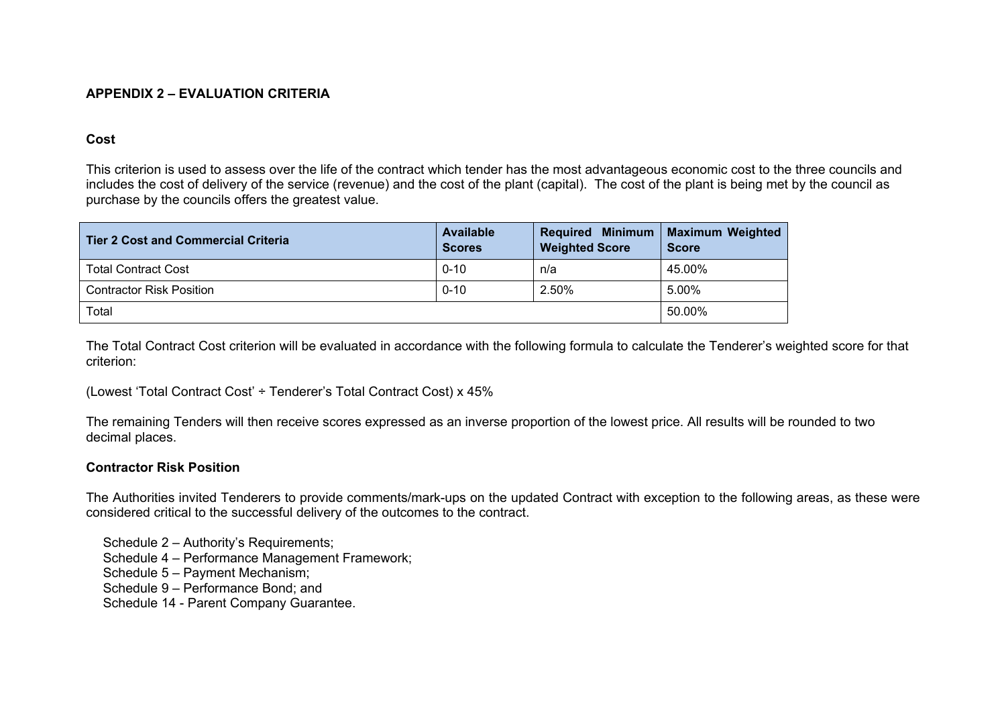## **APPENDIX 2 – EVALUATION CRITERIA**

## **Cost**

This criterion is used to assess over the life of the contract which tender has the most advantageous economic cost to the three councils and includes the cost of delivery of the service (revenue) and the cost of the plant (capital). The cost of the plant is being met by the council as purchase by the councils offers the greatest value.

| Tier 2 Cost and Commercial Criteria | <b>Available</b><br><b>Scores</b> | Required Minimum   Maximum Weighted<br><b>Weighted Score</b> | <b>Score</b> |
|-------------------------------------|-----------------------------------|--------------------------------------------------------------|--------------|
| <b>Total Contract Cost</b>          | $0 - 10$                          | n/a                                                          | 45.00%       |
| <b>Contractor Risk Position</b>     | $0 - 10$                          | 2.50%                                                        | 5.00%        |
| Total                               | 50.00%                            |                                                              |              |

The Total Contract Cost criterion will be evaluated in accordance with the following formula to calculate the Tenderer's weighted score for that criterion:

(Lowest 'Total Contract Cost' ÷ Tenderer's Total Contract Cost) x 45%

The remaining Tenders will then receive scores expressed as an inverse proportion of the lowest price. All results will be rounded to two decimal places.

## **Contractor Risk Position**

The Authorities invited Tenderers to provide comments/mark-ups on the updated Contract with exception to the following areas, as these were considered critical to the successful delivery of the outcomes to the contract.

Schedule 2 – Authority's Requirements;

Schedule 4 – Performance Management Framework;

Schedule 5 – Payment Mechanism;

Schedule 9 – Performance Bond; and

Schedule 14 - Parent Company Guarantee.